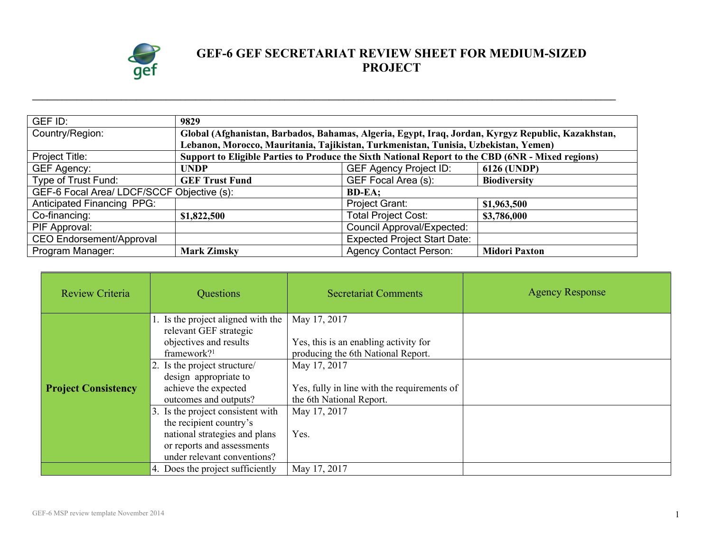

## **GEF-6 GEF SECRETARIAT REVIEW SHEET FOR MEDIUM-SIZED PROJECT**

| GEF ID:                                    | 9829                                                                                               |                                     |                      |
|--------------------------------------------|----------------------------------------------------------------------------------------------------|-------------------------------------|----------------------|
| Country/Region:                            | Global (Afghanistan, Barbados, Bahamas, Algeria, Egypt, Iraq, Jordan, Kyrgyz Republic, Kazakhstan, |                                     |                      |
|                                            | Lebanon, Morocco, Mauritania, Tajikistan, Turkmenistan, Tunisia, Uzbekistan, Yemen)                |                                     |                      |
| Project Title:                             | Support to Eligible Parties to Produce the Sixth National Report to the CBD (6NR - Mixed regions)  |                                     |                      |
| <b>GEF Agency:</b>                         | <b>UNDP</b>                                                                                        | <b>GEF Agency Project ID:</b>       | 6126 (UNDP)          |
| Type of Trust Fund:                        | <b>GEF Trust Fund</b>                                                                              | GEF Focal Area (s):                 | <b>Biodiversity</b>  |
| GEF-6 Focal Area/ LDCF/SCCF Objective (s): |                                                                                                    | <b>BD-EA:</b>                       |                      |
| <b>Anticipated Financing PPG:</b>          |                                                                                                    | Project Grant:                      | \$1,963,500          |
| Co-financing:                              | \$1,822,500                                                                                        | <b>Total Project Cost:</b>          | \$3,786,000          |
| PIF Approval:                              |                                                                                                    | <b>Council Approval/Expected:</b>   |                      |
| <b>CEO Endorsement/Approval</b>            |                                                                                                    | <b>Expected Project Start Date:</b> |                      |
| Program Manager:                           | <b>Mark Zimsky</b>                                                                                 | <b>Agency Contact Person:</b>       | <b>Midori Paxton</b> |

**\_\_\_\_\_\_\_\_\_\_\_\_\_\_\_\_\_\_\_\_\_\_\_\_\_\_\_\_\_\_\_\_\_\_\_\_\_\_\_\_\_\_\_\_\_\_\_\_\_\_\_\_\_\_\_\_\_\_\_\_\_\_\_\_\_\_\_\_\_\_\_\_\_\_\_\_\_\_\_\_\_\_\_\_\_\_\_\_\_\_\_\_\_\_\_\_\_\_\_\_\_\_\_\_\_\_\_\_\_\_\_\_\_\_\_\_\_\_**

| Review Criteria            | Questions                                                                                                                                                                                                                                                                                                                                                                        | <b>Secretariat Comments</b>                                                                                                                                                                                    | <b>Agency Response</b> |
|----------------------------|----------------------------------------------------------------------------------------------------------------------------------------------------------------------------------------------------------------------------------------------------------------------------------------------------------------------------------------------------------------------------------|----------------------------------------------------------------------------------------------------------------------------------------------------------------------------------------------------------------|------------------------|
| <b>Project Consistency</b> | 1. Is the project aligned with the<br>relevant GEF strategic<br>objectives and results<br>framework? $1$<br>2. Is the project structure/<br>design appropriate to<br>achieve the expected<br>outcomes and outputs?<br>3. Is the project consistent with<br>the recipient country's<br>national strategies and plans<br>or reports and assessments<br>under relevant conventions? | May 17, 2017<br>Yes, this is an enabling activity for<br>producing the 6th National Report.<br>May 17, 2017<br>Yes, fully in line with the requirements of<br>the 6th National Report.<br>May 17, 2017<br>Yes. |                        |
|                            | 4. Does the project sufficiently                                                                                                                                                                                                                                                                                                                                                 | May 17, 2017                                                                                                                                                                                                   |                        |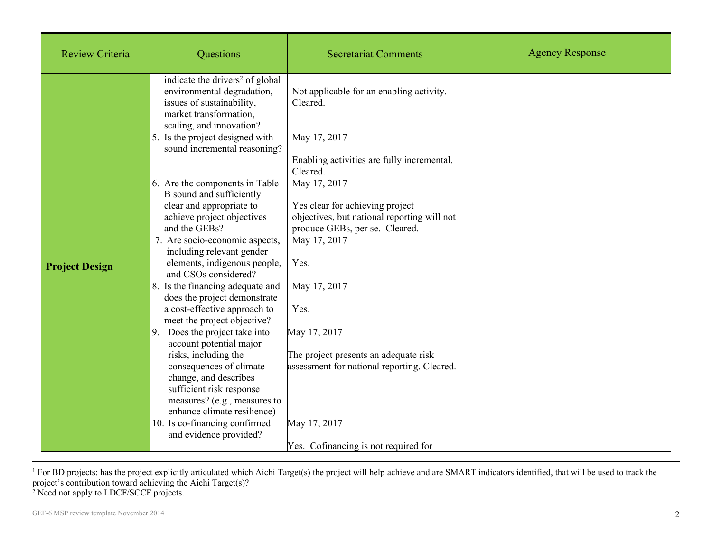| Review Criteria       | Questions                                                                                                                                                                                                                       | <b>Secretariat Comments</b>                                                                                                      | <b>Agency Response</b> |
|-----------------------|---------------------------------------------------------------------------------------------------------------------------------------------------------------------------------------------------------------------------------|----------------------------------------------------------------------------------------------------------------------------------|------------------------|
|                       | indicate the drivers <sup>2</sup> of global<br>environmental degradation,<br>issues of sustainability,<br>market transformation,<br>scaling, and innovation?                                                                    | Not applicable for an enabling activity.<br>Cleared.                                                                             |                        |
|                       | 5. Is the project designed with<br>sound incremental reasoning?                                                                                                                                                                 | May 17, 2017<br>Enabling activities are fully incremental.<br>Cleared.                                                           |                        |
|                       | 6. Are the components in Table<br>B sound and sufficiently<br>clear and appropriate to<br>achieve project objectives<br>and the GEBs?                                                                                           | May 17, 2017<br>Yes clear for achieving project<br>objectives, but national reporting will not<br>produce GEBs, per se. Cleared. |                        |
| <b>Project Design</b> | 7. Are socio-economic aspects,<br>including relevant gender<br>elements, indigenous people,<br>and CSOs considered?                                                                                                             | May 17, 2017<br>Yes.                                                                                                             |                        |
|                       | 8. Is the financing adequate and<br>does the project demonstrate<br>a cost-effective approach to<br>meet the project objective?                                                                                                 | May 17, 2017<br>Yes.                                                                                                             |                        |
|                       | 9. Does the project take into<br>account potential major<br>risks, including the<br>consequences of climate<br>change, and describes<br>sufficient risk response<br>measures? (e.g., measures to<br>enhance climate resilience) | May 17, 2017<br>The project presents an adequate risk<br>assessment for national reporting. Cleared.                             |                        |
|                       | 10. Is co-financing confirmed<br>and evidence provided?                                                                                                                                                                         | May 17, 2017<br>Yes. Cofinancing is not required for                                                                             |                        |

<sup>1</sup> For BD projects: has the project explicitly articulated which Aichi Target(s) the project will help achieve and are SMART indicators identified, that will be used to track the project's contribution toward achieving the Aichi Target(s)?

<sup>2</sup> Need not apply to LDCF/SCCF projects.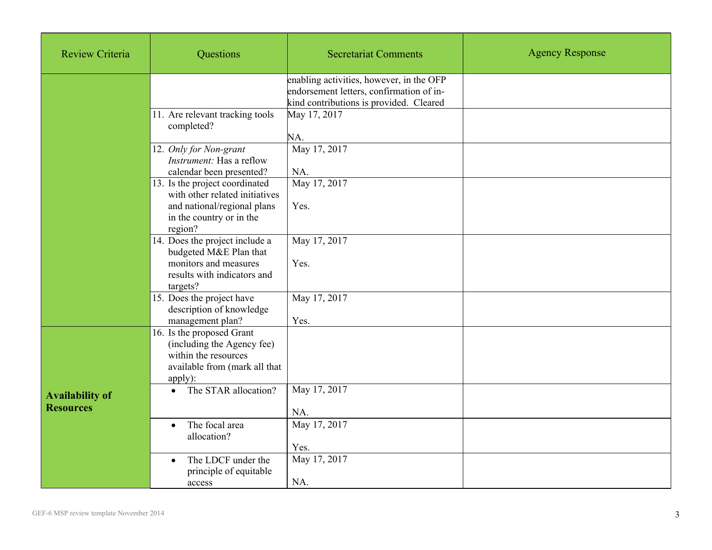| <b>Review Criteria</b>                     | Questions                                                                                                                              | <b>Secretariat Comments</b>                                                                                                     | <b>Agency Response</b> |
|--------------------------------------------|----------------------------------------------------------------------------------------------------------------------------------------|---------------------------------------------------------------------------------------------------------------------------------|------------------------|
|                                            |                                                                                                                                        | enabling activities, however, in the OFP<br>endorsement letters, confirmation of in-<br>kind contributions is provided. Cleared |                        |
|                                            | 11. Are relevant tracking tools<br>completed?                                                                                          | May 17, 2017<br>NA.                                                                                                             |                        |
|                                            | 12. Only for Non-grant<br>Instrument: Has a reflow<br>calendar been presented?                                                         | May 17, 2017<br>NA.                                                                                                             |                        |
|                                            | 13. Is the project coordinated<br>with other related initiatives<br>and national/regional plans<br>in the country or in the<br>region? | May 17, 2017<br>Yes.                                                                                                            |                        |
|                                            | 14. Does the project include a<br>budgeted M&E Plan that<br>monitors and measures<br>results with indicators and<br>targets?           | May 17, 2017<br>Yes.                                                                                                            |                        |
|                                            | 15. Does the project have<br>description of knowledge<br>management plan?                                                              | May 17, 2017<br>Yes.                                                                                                            |                        |
|                                            | 16. Is the proposed Grant<br>(including the Agency fee)<br>within the resources<br>available from (mark all that<br>apply):            |                                                                                                                                 |                        |
| <b>Availability of</b><br><b>Resources</b> | The STAR allocation?<br>$\bullet$                                                                                                      | May 17, 2017<br>NA.                                                                                                             |                        |
|                                            | The focal area<br>$\bullet$<br>allocation?                                                                                             | May 17, 2017<br>Yes.                                                                                                            |                        |
|                                            | The LDCF under the<br>$\bullet$<br>principle of equitable<br>access                                                                    | May 17, 2017<br>NA.                                                                                                             |                        |